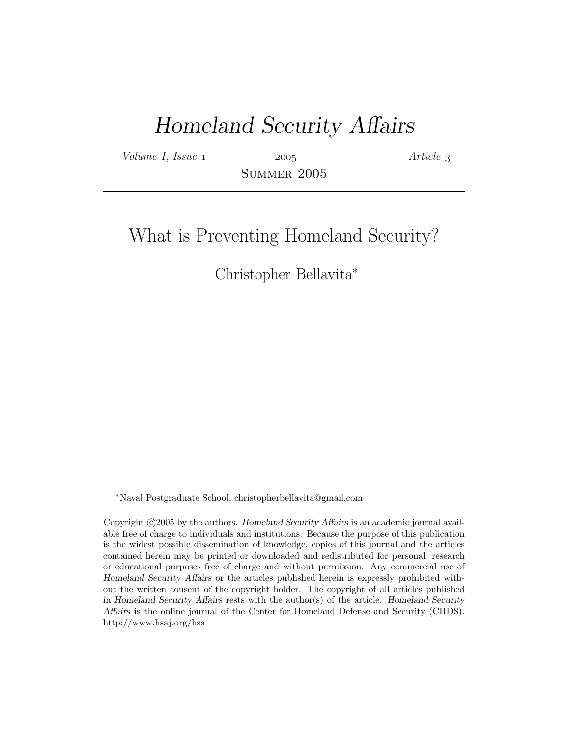# Homeland Security Affairs

 $Volume I, Issue 1$  2005  $Article 3$ 

Summer 2005

# What is Preventing Homeland Security?

# Christopher Bellavita<sup>∗</sup>

<sup>∗</sup>Naval Postgraduate School, christopherbellavita@gmail.com

Copyright ©2005 by the authors. Homeland Security Affairs is an academic journal available free of charge to individuals and institutions. Because the purpose of this publication is the widest possible dissemination of knowledge, copies of this journal and the articles contained herein may be printed or downloaded and redistributed for personal, research or educational purposes free of charge and without permission. Any commercial use of Homeland Security Affairs or the articles published herein is expressly prohibited without the written consent of the copyright holder. The copyright of all articles published in Homeland Security Affairs rests with the author(s) of the article. Homeland Security Affairs is the online journal of the Center for Homeland Defense and Security (CHDS). http://www.hsaj.org/hsa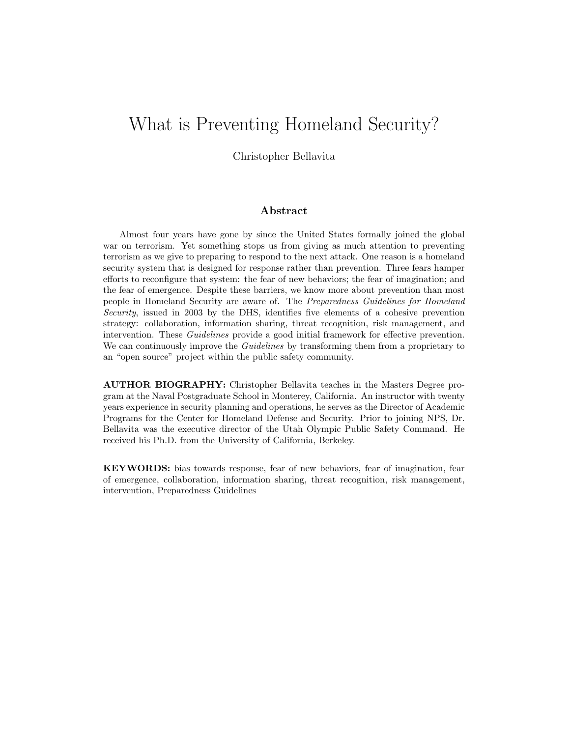# What is Preventing Homeland Security?

Christopher Bellavita

#### Abstract

Almost four years have gone by since the United States formally joined the global war on terrorism. Yet something stops us from giving as much attention to preventing terrorism as we give to preparing to respond to the next attack. One reason is a homeland security system that is designed for response rather than prevention. Three fears hamper efforts to reconfigure that system: the fear of new behaviors; the fear of imagination; and the fear of emergence. Despite these barriers, we know more about prevention than most people in Homeland Security are aware of. The Preparedness Guidelines for Homeland Security, issued in 2003 by the DHS, identifies five elements of a cohesive prevention strategy: collaboration, information sharing, threat recognition, risk management, and intervention. These *Guidelines* provide a good initial framework for effective prevention. We can continuously improve the *Guidelines* by transforming them from a proprietary to an "open source" project within the public safety community.

AUTHOR BIOGRAPHY: Christopher Bellavita teaches in the Masters Degree program at the Naval Postgraduate School in Monterey, California. An instructor with twenty years experience in security planning and operations, he serves as the Director of Academic Programs for the Center for Homeland Defense and Security. Prior to joining NPS, Dr. Bellavita was the executive director of the Utah Olympic Public Safety Command. He received his Ph.D. from the University of California, Berkeley.

KEYWORDS: bias towards response, fear of new behaviors, fear of imagination, fear of emergence, collaboration, information sharing, threat recognition, risk management, intervention, Preparedness Guidelines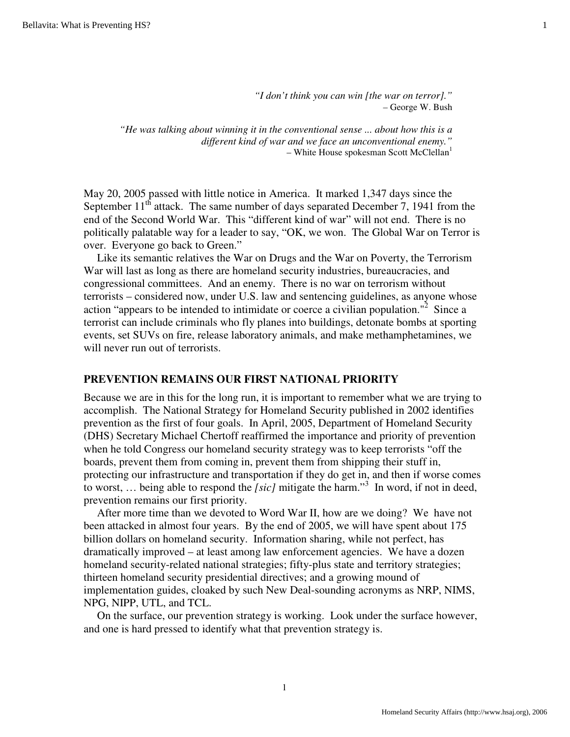*"I don't think you can win [the war on terror]." –* George W. Bush

*"He was talking about winning it in the conventional sense ... about how this is a different kind of war and we face an unconventional enemy."* – White House spokesman Scott McClellan $<sup>1</sup>$ </sup>

May 20, 2005 passed with little notice in America. It marked 1,347 days since the September  $11<sup>th</sup>$  attack. The same number of days separated December 7, 1941 from the end of the Second World War. This "different kind of war" will not end. There is no politically palatable way for a leader to say, "OK, we won. The Global War on Terror is over. Everyone go back to Green."

Like its semantic relatives the War on Drugs and the War on Poverty, the Terrorism War will last as long as there are homeland security industries, bureaucracies, and congressional committees. And an enemy. There is no war on terrorism without terrorists – considered now, under U.S. law and sentencing guidelines, as anyone whose action "appears to be intended to intimidate or coerce a civilian population."<sup>2</sup> Since a terrorist can include criminals who fly planes into buildings, detonate bombs at sporting events, set SUVs on fire, release laboratory animals, and make methamphetamines, we will never run out of terrorists.

## **PREVENTION REMAINS OUR FIRST NATIONAL PRIORITY**

Because we are in this for the long run, it is important to remember what we are trying to accomplish. The National Strategy for Homeland Security published in 2002 identifies prevention as the first of four goals. In April, 2005, Department of Homeland Security (DHS) Secretary Michael Chertoff reaffirmed the importance and priority of prevention when he told Congress our homeland security strategy was to keep terrorists "off the boards, prevent them from coming in, prevent them from shipping their stuff in, protecting our infrastructure and transportation if they do get in, and then if worse comes to worst, ... being able to respond the *[sic]* mitigate the harm."<sup>3</sup> In word, if not in deed, prevention remains our first priority.

After more time than we devoted to Word War II, how are we doing? We have not been attacked in almost four years. By the end of 2005, we will have spent about 175 billion dollars on homeland security. Information sharing, while not perfect, has dramatically improved – at least among law enforcement agencies. We have a dozen homeland security-related national strategies; fifty-plus state and territory strategies; thirteen homeland security presidential directives; and a growing mound of implementation guides, cloaked by such New Deal-sounding acronyms as NRP, NIMS, NPG, NIPP, UTL, and TCL.

On the surface, our prevention strategy is working. Look under the surface however, and one is hard pressed to identify what that prevention strategy is.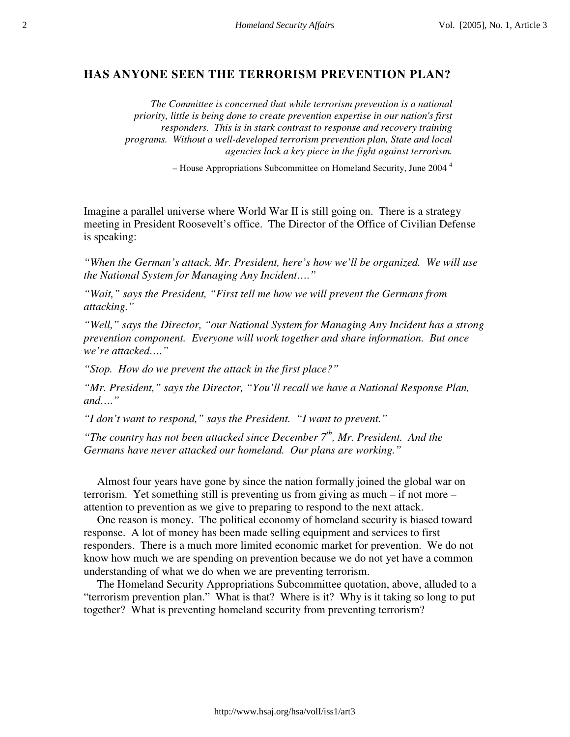### **HAS ANYONE SEEN THE TERRORISM PREVENTION PLAN?**

*The Committee is concerned that while terrorism prevention is a national priority, little is being done to create prevention expertise in our nation's first responders. This is in stark contrast to response and recovery training programs. Without a well-developed terrorism prevention plan, State and local agencies lack a key piece in the fight against terrorism.*

*–* House Appropriations Subcommittee on Homeland Security, June 2004 <sup>4</sup>

Imagine a parallel universe where World War II is still going on. There is a strategy meeting in President Roosevelt's office. The Director of the Office of Civilian Defense is speaking:

*"When the German's attack, Mr. President, here's how we'll be organized. We will use the National System for Managing Any Incident…."*

*"Wait," says the President, "First tell me how we will prevent the Germans from attacking."*

*"Well," says the Director, "our National System for Managing Any Incident has a strong prevention component. Everyone will work together and share information. But once we're attacked…."*

*"Stop. How do we prevent the attack in the first place?"*

*"Mr. President," says the Director, "You'll recall we have a National Response Plan, and…."*

*"I don't want to respond," says the President. "I want to prevent."*

*"The country has not been attacked since December 7<sup>th</sup>, Mr. President. And the Germans have never attacked our homeland. Our plans are working."*

Almost four years have gone by since the nation formally joined the global war on terrorism. Yet something still is preventing us from giving as much – if not more – attention to prevention as we give to preparing to respond to the next attack.

One reason is money. The political economy of homeland security is biased toward response. A lot of money has been made selling equipment and services to first responders. There is a much more limited economic market for prevention. We do not know how much we are spending on prevention because we do not yet have a common understanding of what we do when we are preventing terrorism.

The Homeland Security Appropriations Subcommittee quotation, above, alluded to a "terrorism prevention plan." What is that? Where is it? Why is it taking so long to put together? What is preventing homeland security from preventing terrorism?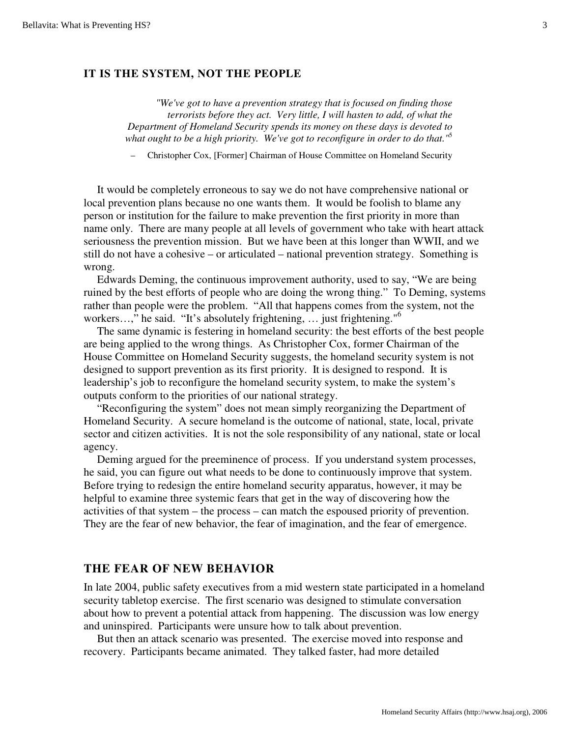#### **IT IS THE SYSTEM, NOT THE PEOPLE**

*"We've got to have a prevention strategy that is focused on finding those terrorists before they act. Very little, I will hasten to add, of what the Department of Homeland Security spends its money on these days is devoted to what ought to be a high priority. We've got to reconfigure in order to do that."*<sup>5</sup>

– Christopher Cox, [Former] Chairman of House Committee on Homeland Security

It would be completely erroneous to say we do not have comprehensive national or local prevention plans because no one wants them. It would be foolish to blame any person or institution for the failure to make prevention the first priority in more than name only. There are many people at all levels of government who take with heart attack seriousness the prevention mission. But we have been at this longer than WWII, and we still do not have a cohesive – or articulated – national prevention strategy. Something is wrong.

Edwards Deming, the continuous improvement authority, used to say, "We are being ruined by the best efforts of people who are doing the wrong thing." To Deming, systems rather than people were the problem. "All that happens comes from the system, not the workers...," he said. "It's absolutely frightening, ... just frightening."<sup>6</sup>

The same dynamic is festering in homeland security: the best efforts of the best people are being applied to the wrong things. As Christopher Cox, former Chairman of the House Committee on Homeland Security suggests, the homeland security system is not designed to support prevention as its first priority. It is designed to respond. It is leadership's job to reconfigure the homeland security system, to make the system's outputs conform to the priorities of our national strategy.

"Reconfiguring the system" does not mean simply reorganizing the Department of Homeland Security. A secure homeland is the outcome of national, state, local, private sector and citizen activities. It is not the sole responsibility of any national, state or local agency.

Deming argued for the preeminence of process. If you understand system processes, he said, you can figure out what needs to be done to continuously improve that system. Before trying to redesign the entire homeland security apparatus, however, it may be helpful to examine three systemic fears that get in the way of discovering how the activities of that system – the process – can match the espoused priority of prevention. They are the fear of new behavior, the fear of imagination, and the fear of emergence.

# **THE FEAR OF NEW BEHAVIOR**

In late 2004, public safety executives from a mid western state participated in a homeland security tabletop exercise. The first scenario was designed to stimulate conversation about how to prevent a potential attack from happening. The discussion was low energy and uninspired. Participants were unsure how to talk about prevention.

But then an attack scenario was presented. The exercise moved into response and recovery. Participants became animated. They talked faster, had more detailed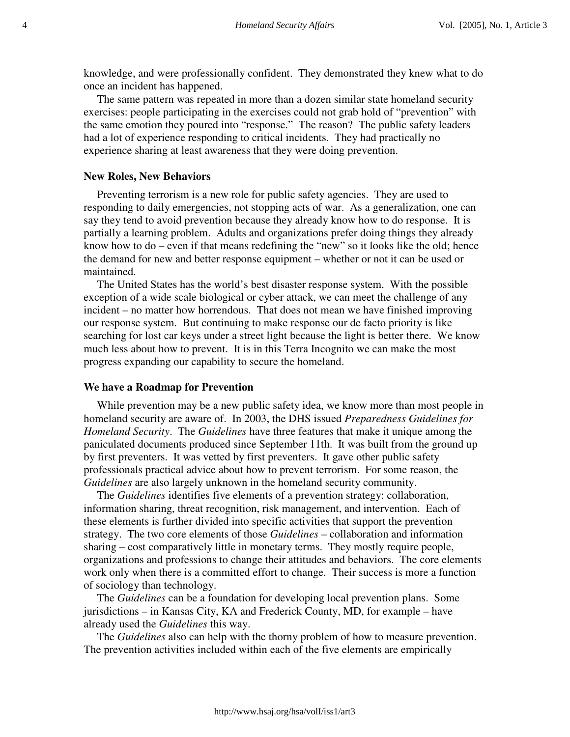knowledge, and were professionally confident. They demonstrated they knew what to do once an incident has happened.

The same pattern was repeated in more than a dozen similar state homeland security exercises: people participating in the exercises could not grab hold of "prevention" with the same emotion they poured into "response." The reason? The public safety leaders had a lot of experience responding to critical incidents. They had practically no experience sharing at least awareness that they were doing prevention.

#### **New Roles, New Behaviors**

Preventing terrorism is a new role for public safety agencies. They are used to responding to daily emergencies, not stopping acts of war. As a generalization, one can say they tend to avoid prevention because they already know how to do response. It is partially a learning problem. Adults and organizations prefer doing things they already know how to do – even if that means redefining the "new" so it looks like the old; hence the demand for new and better response equipment – whether or not it can be used or maintained.

The United States has the world's best disaster response system. With the possible exception of a wide scale biological or cyber attack, we can meet the challenge of any incident – no matter how horrendous. That does not mean we have finished improving our response system. But continuing to make response our de facto priority is like searching for lost car keys under a street light because the light is better there. We know much less about how to prevent. It is in this Terra Incognito we can make the most progress expanding our capability to secure the homeland.

#### **We have a Roadmap for Prevention**

While prevention may be a new public safety idea, we know more than most people in homeland security are aware of. In 2003, the DHS issued *Preparedness Guidelines for Homeland Security*. The *Guidelines* have three features that make it unique among the paniculated documents produced since September 11th. It was built from the ground up by first preventers. It was vetted by first preventers. It gave other public safety professionals practical advice about how to prevent terrorism. For some reason, the *Guidelines* are also largely unknown in the homeland security community.

The *Guidelines* identifies five elements of a prevention strategy: collaboration, information sharing, threat recognition, risk management, and intervention. Each of these elements is further divided into specific activities that support the prevention strategy. The two core elements of those *Guidelines* – collaboration and information sharing – cost comparatively little in monetary terms. They mostly require people, organizations and professions to change their attitudes and behaviors. The core elements work only when there is a committed effort to change. Their success is more a function of sociology than technology.

The *Guidelines* can be a foundation for developing local prevention plans. Some jurisdictions – in Kansas City, KA and Frederick County, MD, for example – have already used the *Guidelines* this way.

The *Guidelines* also can help with the thorny problem of how to measure prevention. The prevention activities included within each of the five elements are empirically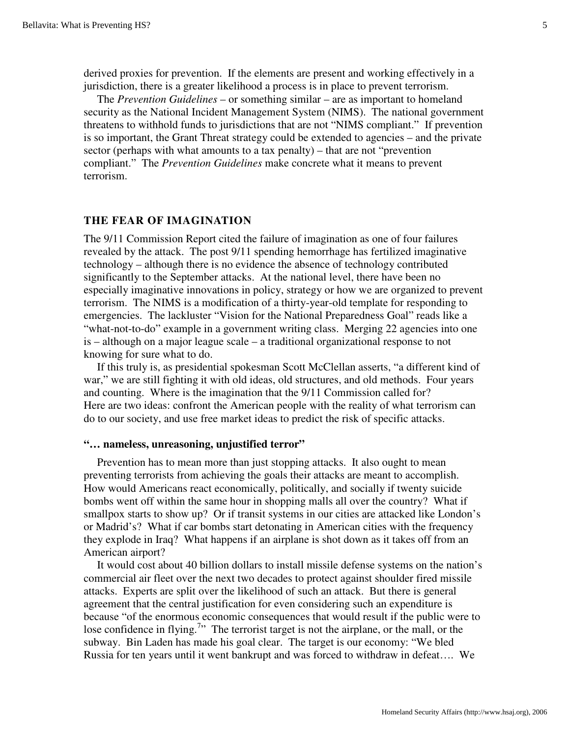derived proxies for prevention. If the elements are present and working effectively in a jurisdiction, there is a greater likelihood a process is in place to prevent terrorism.

The *Prevention Guidelines* – or something similar – are as important to homeland security as the National Incident Management System (NIMS). The national government threatens to withhold funds to jurisdictions that are not "NIMS compliant." If prevention is so important, the Grant Threat strategy could be extended to agencies – and the private sector (perhaps with what amounts to a tax penalty) – that are not "prevention compliant." The *Prevention Guidelines* make concrete what it means to prevent terrorism.

### **THE FEAR OF IMAGINATION**

The 9/11 Commission Report cited the failure of imagination as one of four failures revealed by the attack. The post 9/11 spending hemorrhage has fertilized imaginative technology – although there is no evidence the absence of technology contributed significantly to the September attacks. At the national level, there have been no especially imaginative innovations in policy, strategy or how we are organized to prevent terrorism. The NIMS is a modification of a thirty-year-old template for responding to emergencies. The lackluster "Vision for the National Preparedness Goal" reads like a "what-not-to-do" example in a government writing class. Merging 22 agencies into one is – although on a major league scale – a traditional organizational response to not knowing for sure what to do.

If this truly is, as presidential spokesman Scott McClellan asserts, "a different kind of war," we are still fighting it with old ideas, old structures, and old methods. Four years and counting. Where is the imagination that the 9/11 Commission called for? Here are two ideas: confront the American people with the reality of what terrorism can do to our society, and use free market ideas to predict the risk of specific attacks.

### **"… nameless, unreasoning, unjustified terror"**

Prevention has to mean more than just stopping attacks. It also ought to mean preventing terrorists from achieving the goals their attacks are meant to accomplish. How would Americans react economically, politically, and socially if twenty suicide bombs went off within the same hour in shopping malls all over the country? What if smallpox starts to show up? Or if transit systems in our cities are attacked like London's or Madrid's? What if car bombs start detonating in American cities with the frequency they explode in Iraq? What happens if an airplane is shot down as it takes off from an American airport?

It would cost about 40 billion dollars to install missile defense systems on the nation's commercial air fleet over the next two decades to protect against shoulder fired missile attacks. Experts are split over the likelihood of such an attack. But there is general agreement that the central justification for even considering such an expenditure is because "of the enormous economic consequences that would result if the public were to lose confidence in flying.<sup>7</sup>" The terrorist target is not the airplane, or the mall, or the subway. Bin Laden has made his goal clear. The target is our economy: "We bled Russia for ten years until it went bankrupt and was forced to withdraw in defeat…. We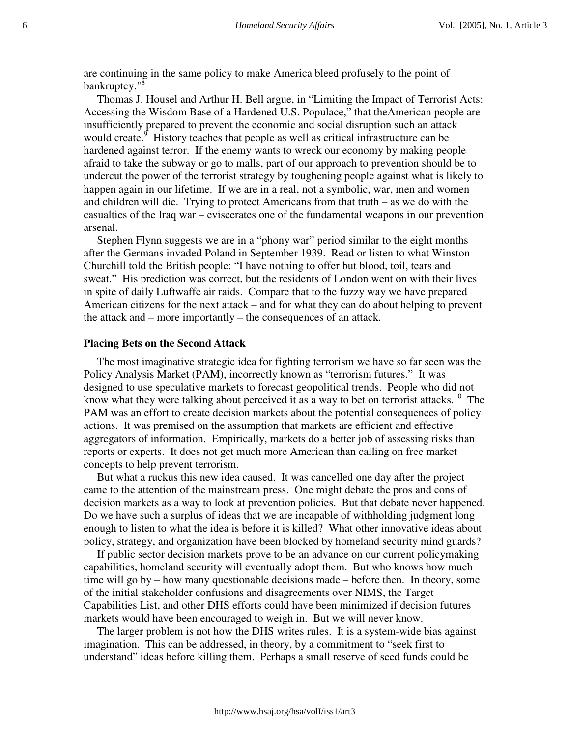are continuing in the same policy to make America bleed profusely to the point of bankruptcy."<sup>8</sup>

Thomas J. Housel and Arthur H. Bell argue, in "Limiting the Impact of Terrorist Acts: Accessing the Wisdom Base of a Hardened U.S. Populace," that the American people are insufficiently prepared to prevent the economic and social disruption such an attack would create.<sup>9</sup> History teaches that people as well as critical infrastructure can be hardened against terror. If the enemy wants to wreck our economy by making people afraid to take the subway or go to malls, part of our approach to prevention should be to undercut the power of the terrorist strategy by toughening people against what is likely to happen again in our lifetime. If we are in a real, not a symbolic, war, men and women and children will die. Trying to protect Americans from that truth – as we do with the casualties of the Iraq war – eviscerates one of the fundamental weapons in our prevention arsenal.

Stephen Flynn suggests we are in a "phony war" period similar to the eight months after the Germans invaded Poland in September 1939. Read or listen to what Winston Churchill told the British people: "I have nothing to offer but blood, toil, tears and sweat." His prediction was correct, but the residents of London went on with their lives in spite of daily Luftwaffe air raids. Compare that to the fuzzy way we have prepared American citizens for the next attack – and for what they can do about helping to prevent the attack and – more importantly – the consequences of an attack.

### **Placing Bets on the Second Attack**

The most imaginative strategic idea for fighting terrorism we have so far seen was the Policy Analysis Market (PAM), incorrectly known as "terrorism futures." It was designed to use speculative markets to forecast geopolitical trends. People who did not know what they were talking about perceived it as a way to bet on terrorist attacks.<sup>10</sup> The PAM was an effort to create decision markets about the potential consequences of policy actions. It was premised on the assumption that markets are efficient and effective aggregators of information. Empirically, markets do a better job of assessing risks than reports or experts. It does not get much more American than calling on free market concepts to help prevent terrorism.

But what a ruckus this new idea caused. It was cancelled one day after the project came to the attention of the mainstream press. One might debate the pros and cons of decision markets as a way to look at prevention policies. But that debate never happened. Do we have such a surplus of ideas that we are incapable of withholding judgment long enough to listen to what the idea is before it is killed? What other innovative ideas about policy, strategy, and organization have been blocked by homeland security mind guards?

If public sector decision markets prove to be an advance on our current policymaking capabilities, homeland security will eventually adopt them. But who knows how much time will go by – how many questionable decisions made – before then. In theory, some of the initial stakeholder confusions and disagreements over NIMS, the Target Capabilities List, and other DHS efforts could have been minimized if decision futures markets would have been encouraged to weigh in. But we will never know.

The larger problem is not how the DHS writes rules. It is a system-wide bias against imagination. This can be addressed, in theory, by a commitment to "seek first to understand" ideas before killing them. Perhaps a small reserve of seed funds could be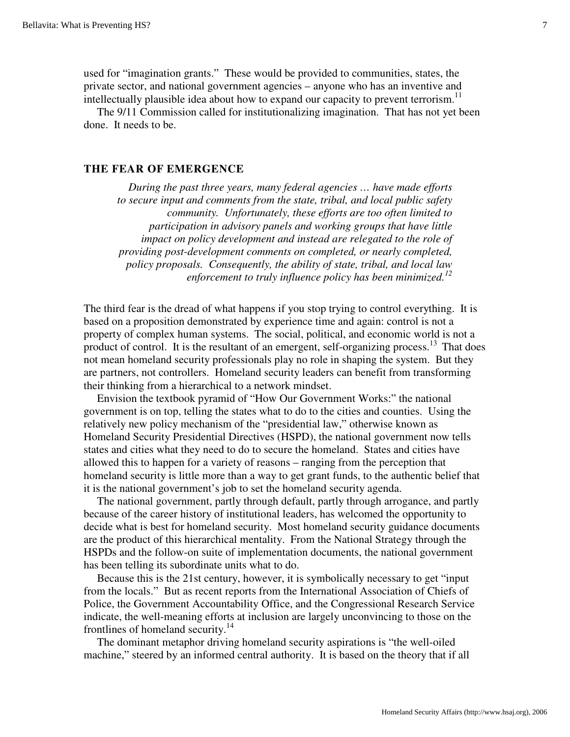used for "imagination grants." These would be provided to communities, states, the private sector, and national government agencies – anyone who has an inventive and intellectually plausible idea about how to expand our capacity to prevent terrorism.<sup>11</sup>

The 9/11 Commission called for institutionalizing imagination. That has not yet been done. It needs to be.

#### **THE FEAR OF EMERGENCE**

*During the past three years, many federal agencies … have made efforts to secure input and comments from the state, tribal, and local public safety community. Unfortunately, these efforts are too often limited to participation in advisory panels and working groups that have little impact on policy development and instead are relegated to the role of providing post-development comments on completed, or nearly completed, policy proposals. Consequently, the ability of state, tribal, and local law enforcement to truly influence policy has been minimized.12*

The third fear is the dread of what happens if you stop trying to control everything. It is based on a proposition demonstrated by experience time and again: control is not a property of complex human systems. The social, political, and economic world is not a product of control. It is the resultant of an emergent, self-organizing process.<sup>13</sup> That does not mean homeland security professionals play no role in shaping the system. But they are partners, not controllers. Homeland security leaders can benefit from transforming their thinking from a hierarchical to a network mindset.

Envision the textbook pyramid of "How Our Government Works:" the national government is on top, telling the states what to do to the cities and counties. Using the relatively new policy mechanism of the "presidential law," otherwise known as Homeland Security Presidential Directives (HSPD), the national government now tells states and cities what they need to do to secure the homeland. States and cities have allowed this to happen for a variety of reasons – ranging from the perception that homeland security is little more than a way to get grant funds, to the authentic belief that it is the national government's job to set the homeland security agenda.

The national government, partly through default, partly through arrogance, and partly because of the career history of institutional leaders, has welcomed the opportunity to decide what is best for homeland security. Most homeland security guidance documents are the product of this hierarchical mentality. From the National Strategy through the HSPDs and the follow-on suite of implementation documents, the national government has been telling its subordinate units what to do.

Because this is the 21st century, however, it is symbolically necessary to get "input from the locals." But as recent reports from the International Association of Chiefs of Police, the Government Accountability Office, and the Congressional Research Service indicate, the well-meaning efforts at inclusion are largely unconvincing to those on the frontlines of homeland security.<sup>14</sup>

The dominant metaphor driving homeland security aspirations is "the well-oiled machine," steered by an informed central authority. It is based on the theory that if all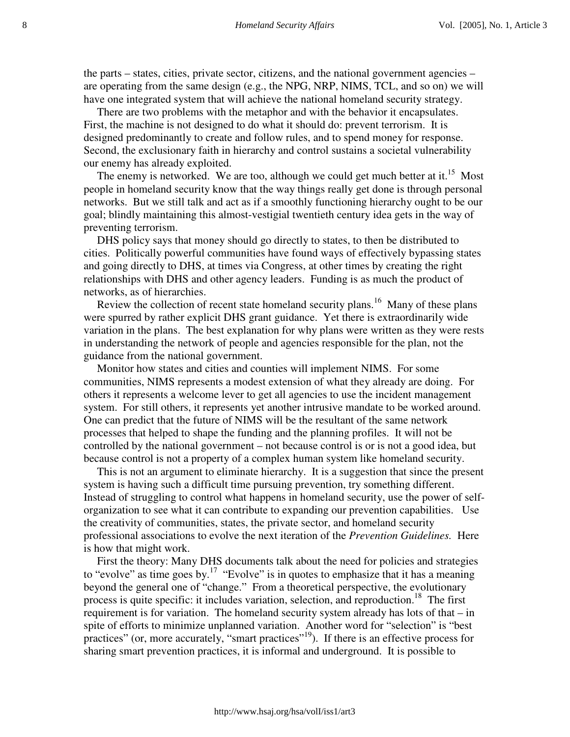the parts – states, cities, private sector, citizens, and the national government agencies – are operating from the same design (e.g., the NPG, NRP, NIMS, TCL, and so on) we will have one integrated system that will achieve the national homeland security strategy.

There are two problems with the metaphor and with the behavior it encapsulates. First, the machine is not designed to do what it should do: prevent terrorism. It is designed predominantly to create and follow rules, and to spend money for response. Second, the exclusionary faith in hierarchy and control sustains a societal vulnerability our enemy has already exploited.

The enemy is networked. We are too, although we could get much better at it.<sup>15</sup> Most people in homeland security know that the way things really get done is through personal networks. But we still talk and act as if a smoothly functioning hierarchy ought to be our goal; blindly maintaining this almost-vestigial twentieth century idea gets in the way of preventing terrorism.

DHS policy says that money should go directly to states, to then be distributed to cities. Politically powerful communities have found ways of effectively bypassing states and going directly to DHS, at times via Congress, at other times by creating the right relationships with DHS and other agency leaders. Funding is as much the product of networks, as of hierarchies.

Review the collection of recent state homeland security plans.<sup>16</sup> Many of these plans were spurred by rather explicit DHS grant guidance. Yet there is extraordinarily wide variation in the plans. The best explanation for why plans were written as they were rests in understanding the network of people and agencies responsible for the plan, not the guidance from the national government.

Monitor how states and cities and counties will implement NIMS. For some communities, NIMS represents a modest extension of what they already are doing. For others it represents a welcome lever to get all agencies to use the incident management system. For still others, it represents yet another intrusive mandate to be worked around. One can predict that the future of NIMS will be the resultant of the same network processes that helped to shape the funding and the planning profiles. It will not be controlled by the national government – not because control is or is not a good idea, but because control is not a property of a complex human system like homeland security.

This is not an argument to eliminate hierarchy. It is a suggestion that since the present system is having such a difficult time pursuing prevention, try something different. Instead of struggling to control what happens in homeland security, use the power of selforganization to see what it can contribute to expanding our prevention capabilities. Use the creativity of communities, states, the private sector, and homeland security professional associations to evolve the next iteration of the *Prevention Guidelines.* Here is how that might work.

First the theory: Many DHS documents talk about the need for policies and strategies to "evolve" as time goes by.<sup>17</sup> "Evolve" is in quotes to emphasize that it has a meaning beyond the general one of "change." From a theoretical perspective, the evolutionary process is quite specific: it includes variation, selection, and reproduction.<sup>18</sup> The first requirement is for variation. The homeland security system already has lots of that – in spite of efforts to minimize unplanned variation. Another word for "selection" is "best practices" (or, more accurately, "smart practices"<sup>19</sup>). If there is an effective process for sharing smart prevention practices, it is informal and underground. It is possible to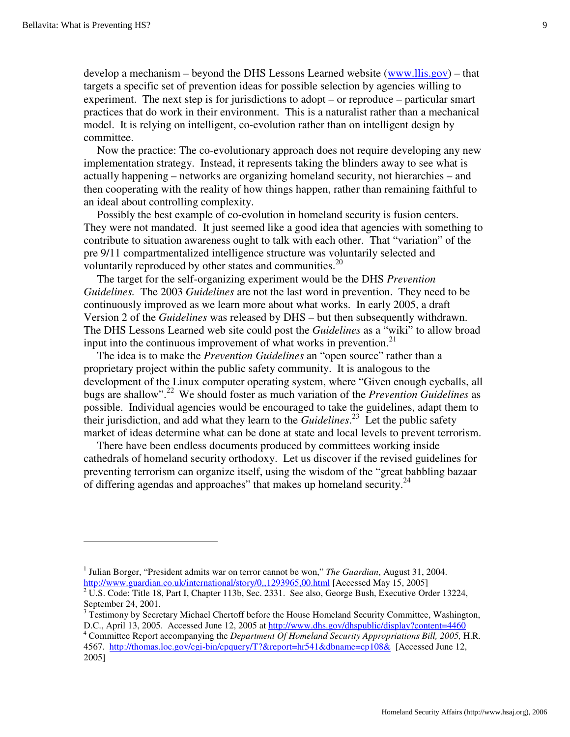develop a mechanism – beyond the DHS Lessons Learned website (www.llis.gov) – that targets a specific set of prevention ideas for possible selection by agencies willing to experiment. The next step is for jurisdictions to adopt – or reproduce – particular smart practices that do work in their environment. This is a naturalist rather than a mechanical model. It is relying on intelligent, co-evolution rather than on intelligent design by committee.

Now the practice: The co-evolutionary approach does not require developing any new implementation strategy. Instead, it represents taking the blinders away to see what is actually happening – networks are organizing homeland security, not hierarchies – and then cooperating with the reality of how things happen, rather than remaining faithful to an ideal about controlling complexity.

Possibly the best example of co-evolution in homeland security is fusion centers. They were not mandated. It just seemed like a good idea that agencies with something to contribute to situation awareness ought to talk with each other. That "variation" of the pre 9/11 compartmentalized intelligence structure was voluntarily selected and voluntarily reproduced by other states and communities. $^{20}$ 

The target for the self-organizing experiment would be the DHS *Prevention Guidelines.* The 2003 *Guidelines* are not the last word in prevention. They need to be continuously improved as we learn more about what works. In early 2005, a draft Version 2 of the *Guidelines* was released by DHS – but then subsequently withdrawn. The DHS Lessons Learned web site could post the *Guidelines* as a "wiki" to allow broad input into the continuous improvement of what works in prevention.<sup>21</sup>

The idea is to make the *Prevention Guidelines* an "open source" rather than a proprietary project within the public safety community. It is analogous to the development of the Linux computer operating system, where "Given enough eyeballs, all bugs are shallow".22 We should foster as much variation of the *Prevention Guidelines* as possible. Individual agencies would be encouraged to take the guidelines, adapt them to their jurisdiction, and add what they learn to the *Guidelines*. 23 Let the public safety market of ideas determine what can be done at state and local levels to prevent terrorism.

There have been endless documents produced by committees working inside cathedrals of homeland security orthodoxy. Let us discover if the revised guidelines for preventing terrorism can organize itself, using the wisdom of the "great babbling bazaar of differing agendas and approaches" that makes up homeland security. $^{24}$ 

<sup>&</sup>lt;sup>1</sup> Julian Borger, "President admits war on terror cannot be won," *The Guardian*, August 31, 2004. http://www.guardian.co.uk/international/story/0,,1293965,00.html [Accessed May 15, 2005]

 $\sqrt[2]{U.S.}$  Code: Title 18, Part I, Chapter 113b, Sec. 2331. See also, George Bush, Executive Order 13224, September 24, 2001. 3 Testimony by Secretary Michael Chertoff before the House Homeland Security Committee, Washington,

D.C., April 13, 2005. Accessed June 12, 2005 at http://www.dhs.gov/dhspublic/display?content=4460

Committee Report accompanying the *Department Of Homeland Security Appropriations Bill, 2005,* H.R. 4567. http://thomas.loc.gov/cgi-bin/cpquery/T?&report=hr541&dbname=cp108& [Accessed June 12, 2005]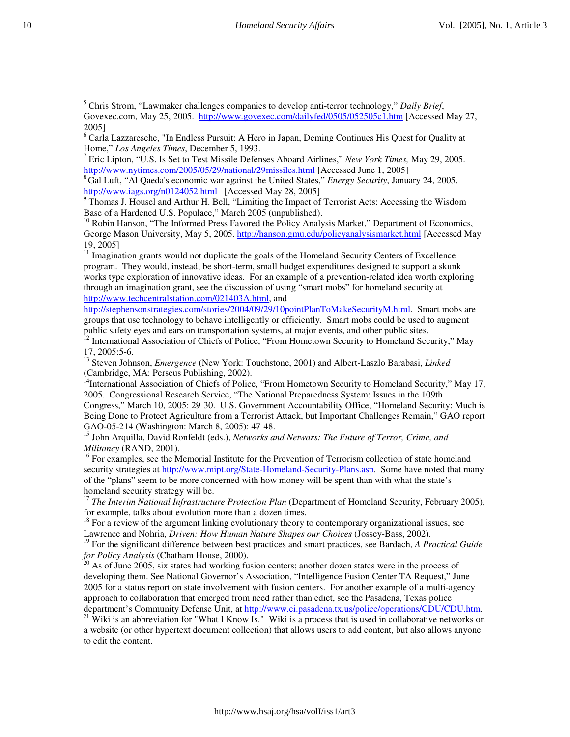5 Chris Strom, "Lawmaker challenges companies to develop anti-terror technology," *Daily Brief*, Govexec.com, May 25, 2005. http://www.govexec.com/dailyfed/0505/052505c1.htm [Accessed May 27, 2005]

<sup>6</sup> Carla Lazzaresche, "In Endless Pursuit: A Hero in Japan, Deming Continues His Quest for Quality at Home," *Los Angeles Times*, December 5, 1993. <sup>7</sup>

<sup>7</sup> Eric Lipton, "U.S. Is Set to Test Missile Defenses Aboard Airlines," *New York Times*, May 29, 2005.<br>http://www.nytimes.com/2005/05/29/national/29missiles.html [Accessed June 1, 2005]

<sup>8</sup> Gal Luft, "Al Qaeda's economic war against the United States," *Energy Security*, January 24, 2005.

http://www.iags.org/n0124052.html [Accessed May 28, 2005]<br><sup>9</sup> Thomas J. Housel and Arthur H. Bell, "Limiting the Impact of Terrorist Acts: Accessing the Wisdom

Base of a Hardened U.S. Populace," March 2005 (unpublished).<br><sup>10</sup> Robin Hanson, "The Informed Press Favored the Policy Analysis Market," Department of Economics, George Mason University, May 5, 2005. http://hanson.gmu.edu/policyanalysismarket.html [Accessed May 19, 2005] 11 Imagination grants would not duplicate the goals of the Homeland Security Centers of Excellence

program. They would, instead, be short-term, small budget expenditures designed to support a skunk works type exploration of innovative ideas. For an example of a prevention-related idea worth exploring through an imagination grant, see the discussion of using "smart mobs" for homeland security at http://www.techcentralstation.com/021403A.html, and

http://stephensonstrategies.com/stories/2004/09/29/10pointPlanToMakeSecurityM.html. Smart mobs are groups that use technology to behave intelligently or efficiently. Smart mobs could be used to augment public safety eyes and ears on transportation systems, at major events, and other public sites.

<sup>12</sup> International Association of Chiefs of Police, "From Hometown Security to Homeland Security," May

17, 2005:5-6. 13 Steven Johnson, *Emergence* (New York: Touchstone, 2001) and Albert-Laszlo Barabasi, *Linked*

<sup>14</sup>International Association of Chiefs of Police, "From Hometown Security to Homeland Security," May 17, 2005. Congressional Research Service, "The National Preparedness System: Issues in the 109th

Congress," March 10, 2005: 29- 30. U.S. Government Accountability Office, "Homeland Security: Much is Being Done to Protect Agriculture from a Terrorist Attack, but Important Challenges Remain," GAO report GAO-05-214 (Washington: March 8, 2005): 47- 48.

15 John Arquilla, David Ronfeldt (eds.), *Networks and Netwars: The Future of Terror, Crime, and Militancy* (RAND, 2001).

<sup>16</sup> For examples, see the Memorial Institute for the Prevention of Terrorism collection of state homeland security strategies at http://www.mipt.org/State-Homeland-Security-Plans.asp. Some have noted that many of the "plans" seem to be more concerned with how money will be spent than with what the state's homeland security strategy will be.

<sup>17</sup> *The Interim National Infrastructure Protection Plan* (Department of Homeland Security, February 2005), for example, talks about evolution more than a dozen times.

<sup>18</sup> For a review of the argument linking evolutionary theory to contemporary organizational issues, see Lawrence and Nohria, *Driven: How Human Nature Shapes our Choices* (Jossey-Bass, 2002).

19 For the significant difference between best practices and smart practices, see Bardach, *A Practical Guide* 

*for Policy Analysis* (Chatham House, 2000).<br><sup>20</sup> As of June 2005, six states had working fusion centers; another dozen states were in the process of developing them. See National Governor's Association, "Intelligence Fusion Center TA Request," June 2005 for a status report on state involvement with fusion centers. For another example of a multi-agency approach to collaboration that emerged from need rather than edict, see the Pasadena, Texas police

department's Community Defense Unit, at http://www.ci.pasadena.tx.us/police/operations/CDU/CDU.htm. <sup>21</sup> Wiki is an abbreviation for "What I Know Is." Wiki is a process that is used in collaborative networks on a website (or other hypertext document collection) that allows users to add content, but also allows anyone to edit the content.